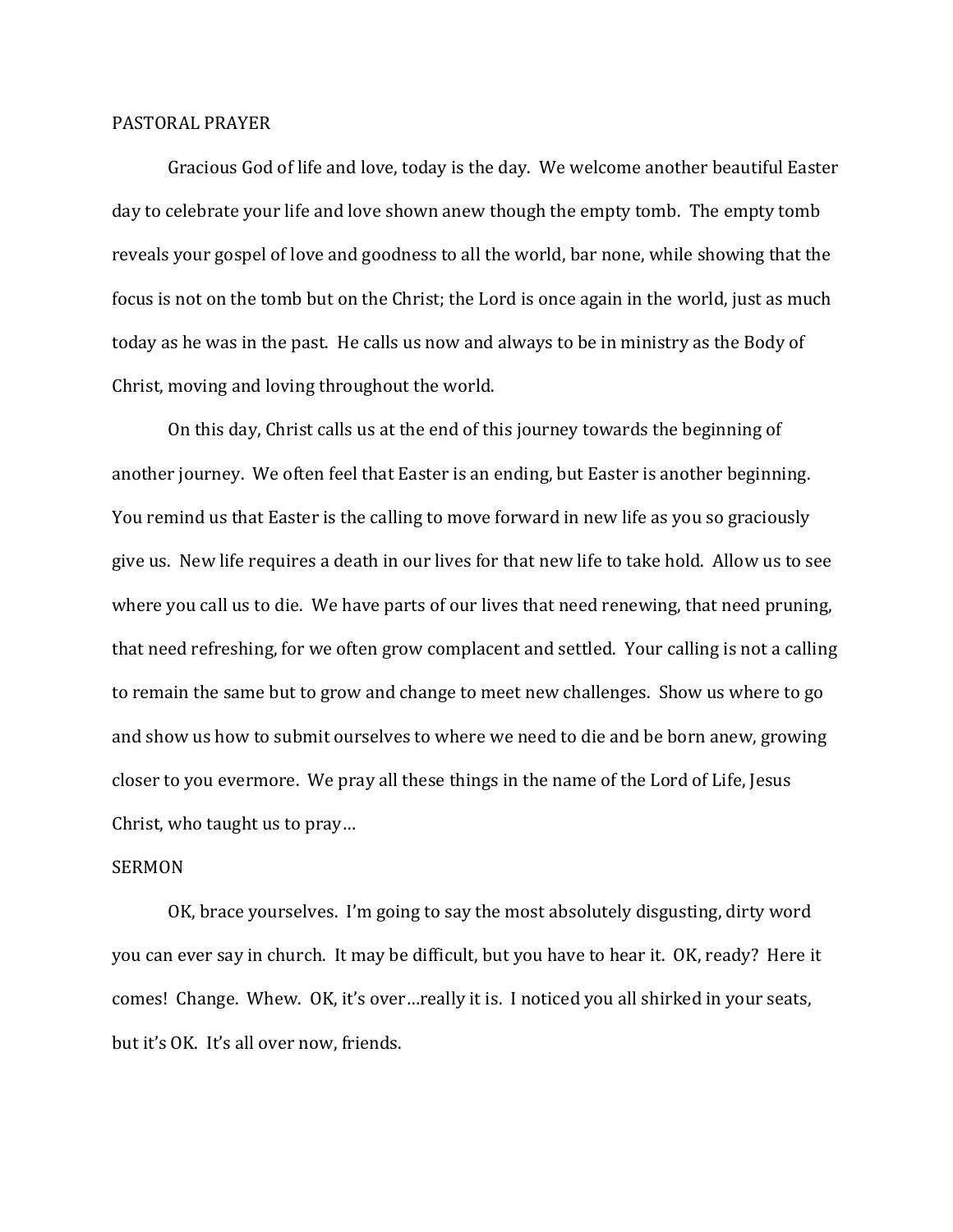## PASTORAL PRAYER

 Gracious God of life and love, today is the day. We welcome another beautiful Easter day to celebrate your life and love shown anew though the empty tomb. The empty tomb reveals your gospel of love and goodness to all the world, bar none, while showing that the focus is not on the tomb but on the Christ; the Lord is once again in the world, just as much today as he was in the past. He calls us now and always to be in ministry as the Body of Christ, moving and loving throughout the world.

 On this day, Christ calls us at the end of this journey towards the beginning of another journey. We often feel that Easter is an ending, but Easter is another beginning. You remind us that Easter is the calling to move forward in new life as you so graciously give us. New life requires a death in our lives for that new life to take hold. Allow us to see where you call us to die. We have parts of our lives that need renewing, that need pruning, that need refreshing, for we often grow complacent and settled. Your calling is not a calling to remain the same but to grow and change to meet new challenges. Show us where to go and show us how to submit ourselves to where we need to die and be born anew, growing closer to you evermore. We pray all these things in the name of the Lord of Life, Jesus Christ, who taught us to pray…

## SERMON

 OK, brace yourselves. I'm going to say the most absolutely disgusting, dirty word you can ever say in church. It may be difficult, but you have to hear it. OK, ready? Here it comes! Change. Whew. OK, it's over…really it is. I noticed you all shirked in your seats, but it's OK. It's all over now, friends.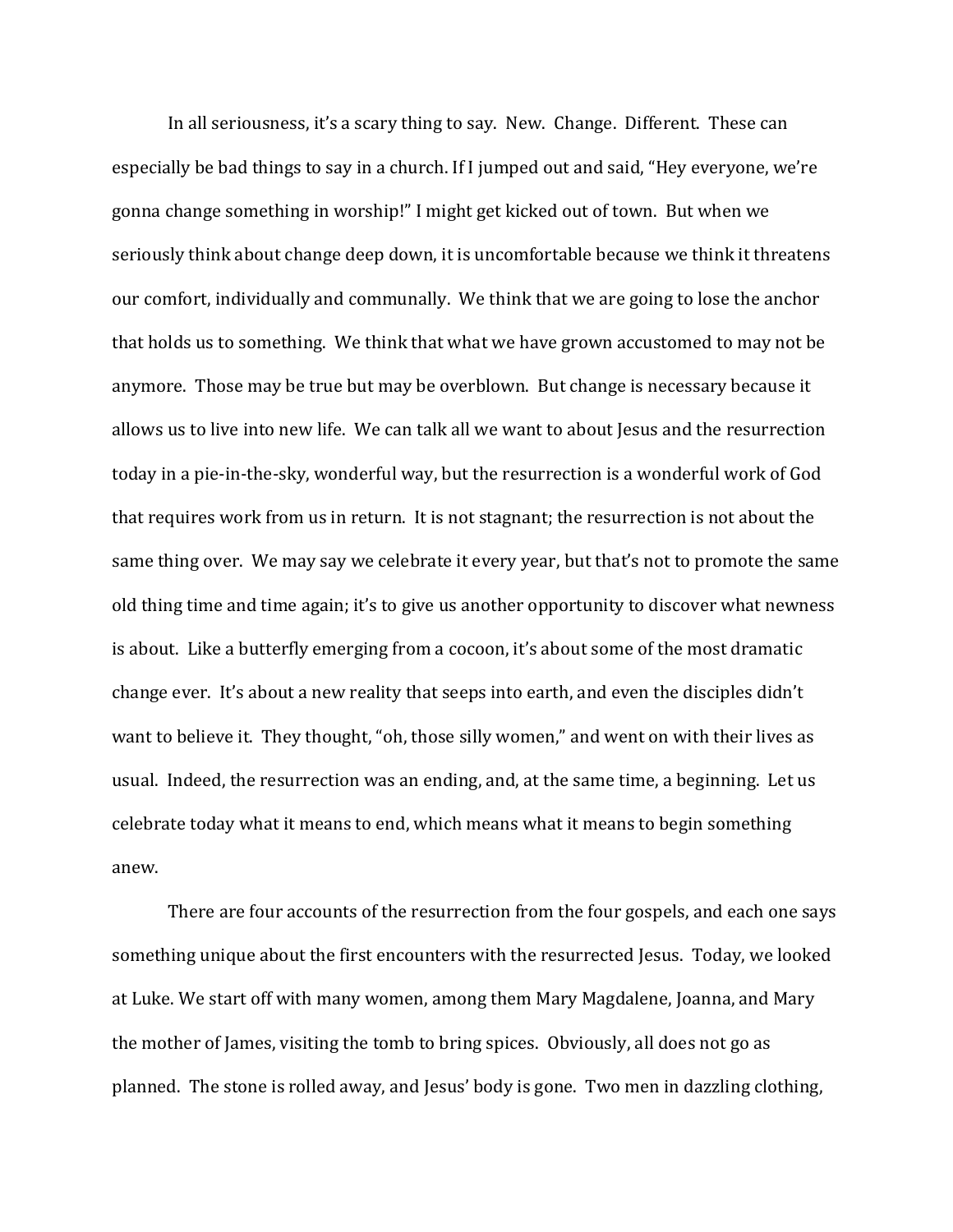In all seriousness, it's a scary thing to say. New. Change. Different. These can especially be bad things to say in a church. If I jumped out and said, "Hey everyone, we're gonna change something in worship!" I might get kicked out of town. But when we seriously think about change deep down, it is uncomfortable because we think it threatens our comfort, individually and communally. We think that we are going to lose the anchor that holds us to something. We think that what we have grown accustomed to may not be anymore. Those may be true but may be overblown. But change is necessary because it allows us to live into new life. We can talk all we want to about Jesus and the resurrection today in a pie-in-the-sky, wonderful way, but the resurrection is a wonderful work of God that requires work from us in return. It is not stagnant; the resurrection is not about the same thing over. We may say we celebrate it every year, but that's not to promote the same old thing time and time again; it's to give us another opportunity to discover what newness is about. Like a butterfly emerging from a cocoon, it's about some of the most dramatic change ever. It's about a new reality that seeps into earth, and even the disciples didn't want to believe it. They thought, "oh, those silly women," and went on with their lives as usual. Indeed, the resurrection was an ending, and, at the same time, a beginning. Let us celebrate today what it means to end, which means what it means to begin something anew.

 There are four accounts of the resurrection from the four gospels, and each one says something unique about the first encounters with the resurrected Jesus. Today, we looked at Luke. We start off with many women, among them Mary Magdalene, Joanna, and Mary the mother of James, visiting the tomb to bring spices. Obviously, all does not go as planned. The stone is rolled away, and Jesus' body is gone. Two men in dazzling clothing,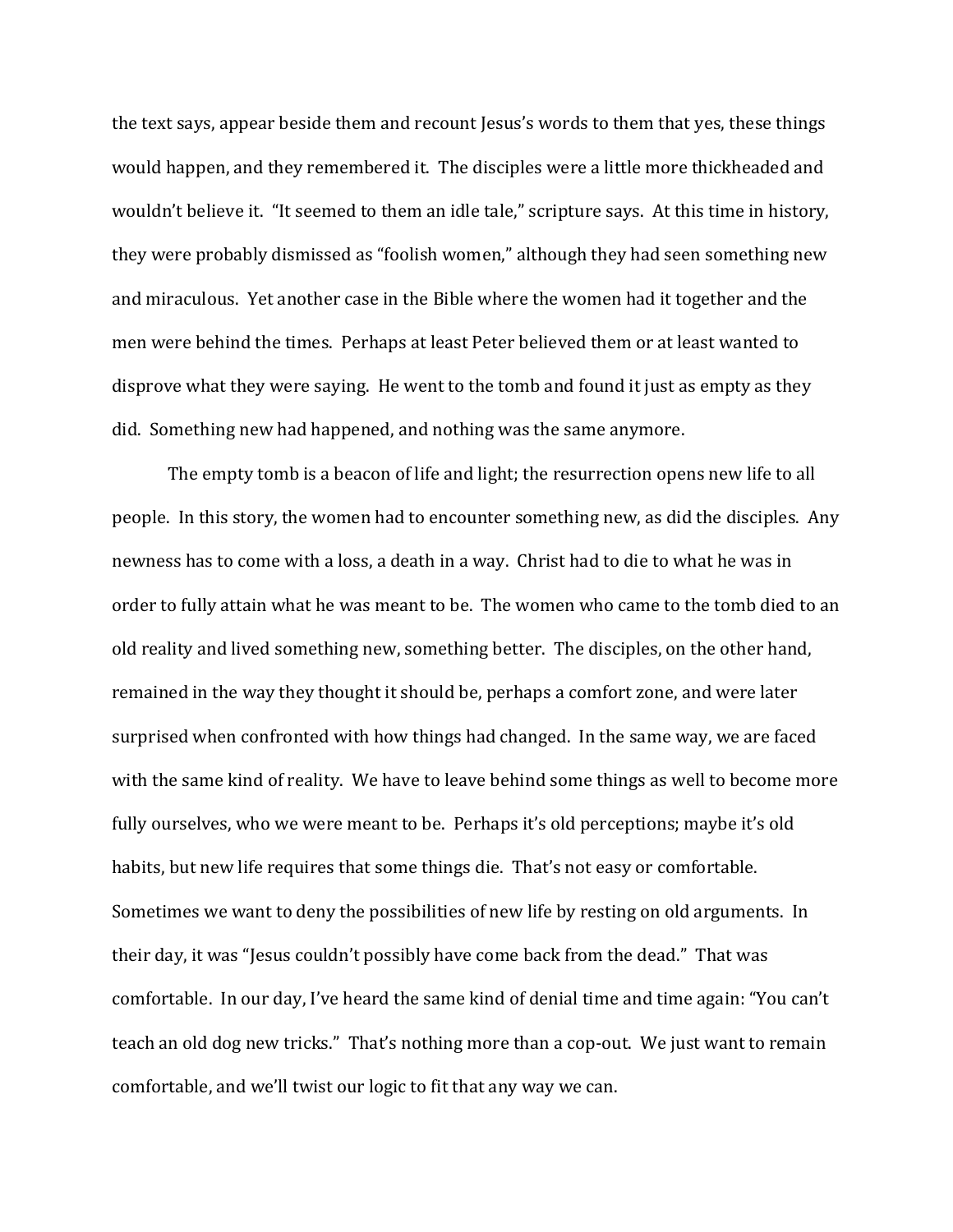the text says, appear beside them and recount Jesus's words to them that yes, these things would happen, and they remembered it. The disciples were a little more thickheaded and wouldn't believe it. "It seemed to them an idle tale," scripture says. At this time in history, they were probably dismissed as "foolish women," although they had seen something new and miraculous. Yet another case in the Bible where the women had it together and the men were behind the times. Perhaps at least Peter believed them or at least wanted to disprove what they were saying. He went to the tomb and found it just as empty as they did. Something new had happened, and nothing was the same anymore.

 The empty tomb is a beacon of life and light; the resurrection opens new life to all people. In this story, the women had to encounter something new, as did the disciples. Any newness has to come with a loss, a death in a way. Christ had to die to what he was in order to fully attain what he was meant to be. The women who came to the tomb died to an old reality and lived something new, something better. The disciples, on the other hand, remained in the way they thought it should be, perhaps a comfort zone, and were later surprised when confronted with how things had changed. In the same way, we are faced with the same kind of reality. We have to leave behind some things as well to become more fully ourselves, who we were meant to be. Perhaps it's old perceptions; maybe it's old habits, but new life requires that some things die. That's not easy or comfortable. Sometimes we want to deny the possibilities of new life by resting on old arguments. In their day, it was "Jesus couldn't possibly have come back from the dead." That was comfortable. In our day, I've heard the same kind of denial time and time again: "You can't teach an old dog new tricks." That's nothing more than a cop-out. We just want to remain comfortable, and we'll twist our logic to fit that any way we can.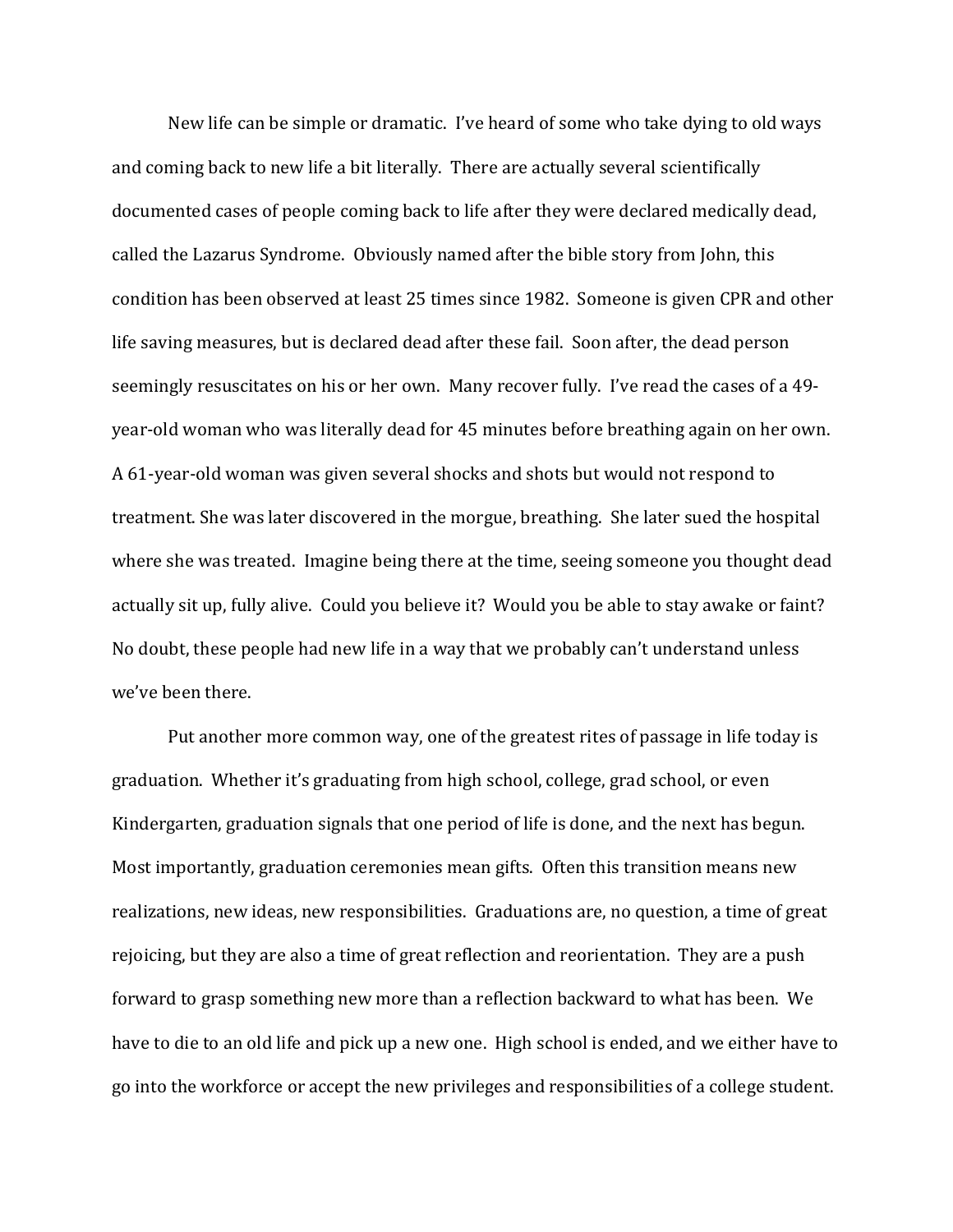New life can be simple or dramatic. I've heard of some who take dying to old ways and coming back to new life a bit literally. There are actually several scientifically documented cases of people coming back to life after they were declared medically dead, called the Lazarus Syndrome. Obviously named after the bible story from John, this condition has been observed at least 25 times since 1982. Someone is given CPR and other life saving measures, but is declared dead after these fail. Soon after, the dead person seemingly resuscitates on his or her own. Many recover fully. I've read the cases of a 49 year-old woman who was literally dead for 45 minutes before breathing again on her own. A 61-year-old woman was given several shocks and shots but would not respond to treatment. She was later discovered in the morgue, breathing. She later sued the hospital where she was treated. Imagine being there at the time, seeing someone you thought dead actually sit up, fully alive. Could you believe it? Would you be able to stay awake or faint? No doubt, these people had new life in a way that we probably can't understand unless we've been there.

Put another more common way, one of the greatest rites of passage in life today is graduation. Whether it's graduating from high school, college, grad school, or even Kindergarten, graduation signals that one period of life is done, and the next has begun. Most importantly, graduation ceremonies mean gifts. Often this transition means new realizations, new ideas, new responsibilities. Graduations are, no question, a time of great rejoicing, but they are also a time of great reflection and reorientation. They are a push forward to grasp something new more than a reflection backward to what has been. We have to die to an old life and pick up a new one. High school is ended, and we either have to go into the workforce or accept the new privileges and responsibilities of a college student.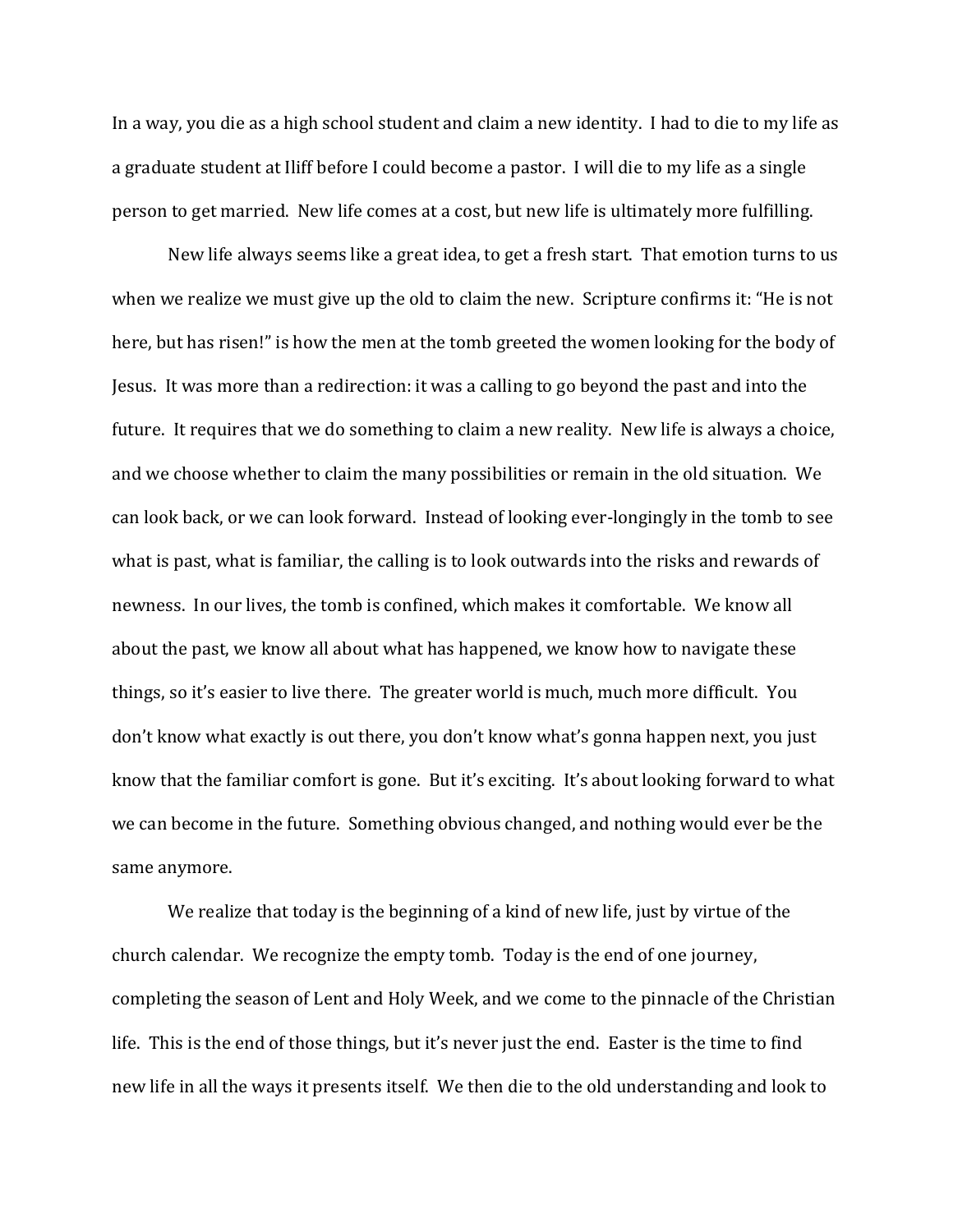In a way, you die as a high school student and claim a new identity. I had to die to my life as a graduate student at Iliff before I could become a pastor. I will die to my life as a single person to get married. New life comes at a cost, but new life is ultimately more fulfilling.

New life always seems like a great idea, to get a fresh start. That emotion turns to us when we realize we must give up the old to claim the new. Scripture confirms it: "He is not here, but has risen!" is how the men at the tomb greeted the women looking for the body of Jesus. It was more than a redirection: it was a calling to go beyond the past and into the future. It requires that we do something to claim a new reality. New life is always a choice, and we choose whether to claim the many possibilities or remain in the old situation. We can look back, or we can look forward. Instead of looking ever-longingly in the tomb to see what is past, what is familiar, the calling is to look outwards into the risks and rewards of newness. In our lives, the tomb is confined, which makes it comfortable. We know all about the past, we know all about what has happened, we know how to navigate these things, so it's easier to live there. The greater world is much, much more difficult. You don't know what exactly is out there, you don't know what's gonna happen next, you just know that the familiar comfort is gone. But it's exciting. It's about looking forward to what we can become in the future. Something obvious changed, and nothing would ever be the same anymore.

We realize that today is the beginning of a kind of new life, just by virtue of the church calendar. We recognize the empty tomb. Today is the end of one journey, completing the season of Lent and Holy Week, and we come to the pinnacle of the Christian life. This is the end of those things, but it's never just the end. Easter is the time to find new life in all the ways it presents itself. We then die to the old understanding and look to